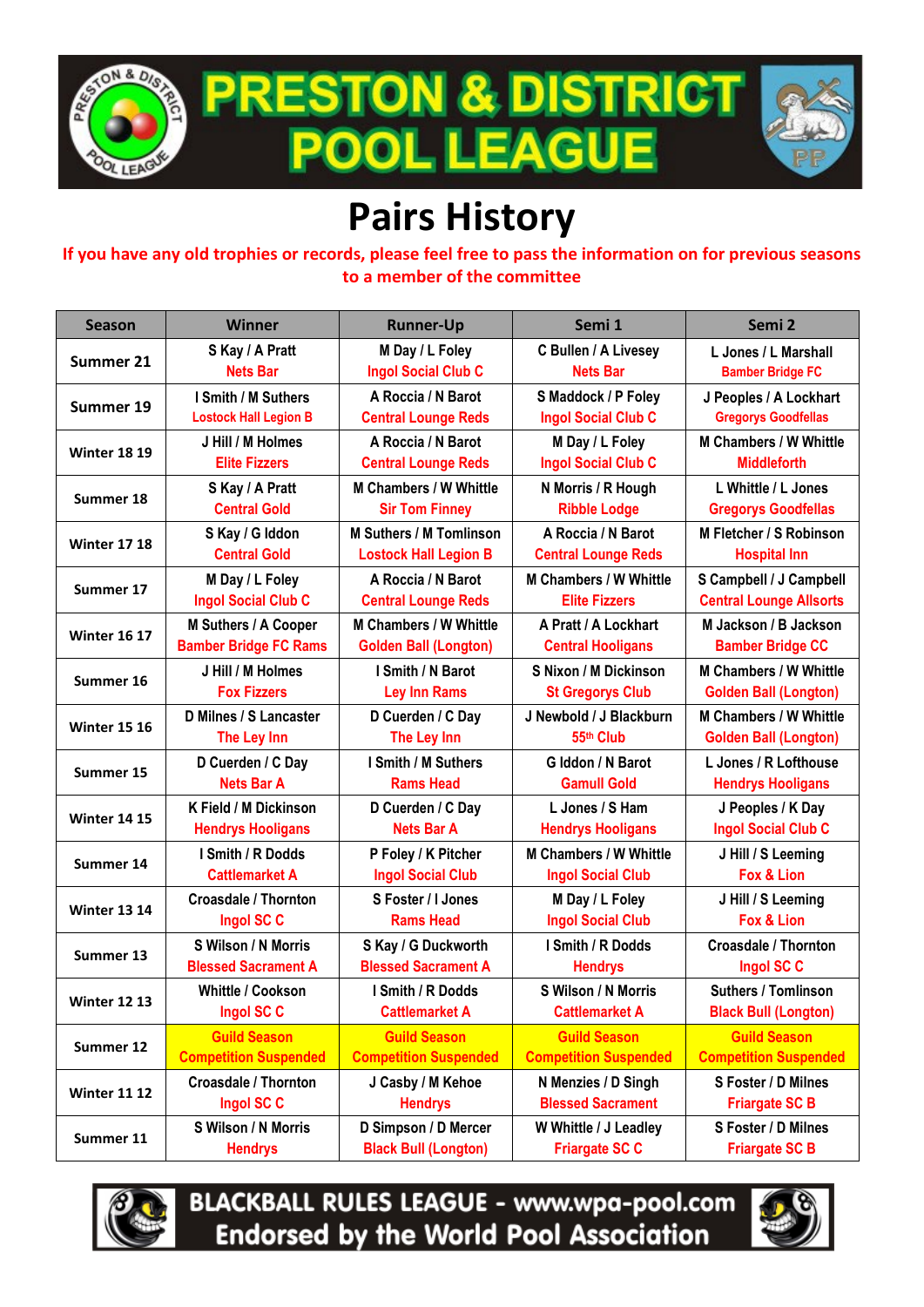

**PRESTON & DISTRICT EAGUE** 001 <u>. Il</u>



## **Pairs History**

**If you have any old trophies or records, please feel free to pass the information on for previous seasons to a member of the committee**

| Season              | <b>Winner</b>                | <b>Runner-Up</b>               | Semi 1                        | Semi 2                         |
|---------------------|------------------------------|--------------------------------|-------------------------------|--------------------------------|
| Summer 21           | S Kay / A Pratt              | M Day / L Foley                | C Bullen / A Livesey          | L Jones / L Marshall           |
|                     | <b>Nets Bar</b>              | <b>Ingol Social Club C</b>     | <b>Nets Bar</b>               | <b>Bamber Bridge FC</b>        |
| Summer 19           | I Smith / M Suthers          | A Roccia / N Barot             | S Maddock / P Foley           | J Peoples / A Lockhart         |
|                     | <b>Lostock Hall Legion B</b> | <b>Central Lounge Reds</b>     | <b>Ingol Social Club C</b>    | <b>Gregorys Goodfellas</b>     |
| <b>Winter 18 19</b> | J Hill / M Holmes            | A Roccia / N Barot             | M Day / L Foley               | <b>M Chambers / W Whittle</b>  |
|                     | <b>Elite Fizzers</b>         | <b>Central Lounge Reds</b>     | <b>Ingol Social Club C</b>    | <b>Middleforth</b>             |
| Summer 18           | S Kay / A Pratt              | <b>M Chambers / W Whittle</b>  | N Morris / R Hough            | L Whittle / L Jones            |
|                     | <b>Central Gold</b>          | <b>Sir Tom Finney</b>          | <b>Ribble Lodge</b>           | <b>Gregorys Goodfellas</b>     |
| <b>Winter 17 18</b> | S Kay / G Iddon              | <b>M Suthers / M Tomlinson</b> | A Roccia / N Barot            | M Fletcher / S Robinson        |
|                     | <b>Central Gold</b>          | <b>Lostock Hall Legion B</b>   | <b>Central Lounge Reds</b>    | <b>Hospital Inn</b>            |
| Summer 17           | M Day / L Foley              | A Roccia / N Barot             | <b>M Chambers / W Whittle</b> | S Campbell / J Campbell        |
|                     | <b>Ingol Social Club C</b>   | <b>Central Lounge Reds</b>     | <b>Elite Fizzers</b>          | <b>Central Lounge Allsorts</b> |
| <b>Winter 16 17</b> | M Suthers / A Cooper         | <b>M Chambers / W Whittle</b>  | A Pratt / A Lockhart          | M Jackson / B Jackson          |
|                     | <b>Bamber Bridge FC Rams</b> | <b>Golden Ball (Longton)</b>   | <b>Central Hooligans</b>      | <b>Bamber Bridge CC</b>        |
| Summer 16           | J Hill / M Holmes            | I Smith / N Barot              | S Nixon / M Dickinson         | <b>M Chambers / W Whittle</b>  |
|                     | <b>Fox Fizzers</b>           | <b>Ley Inn Rams</b>            | <b>St Gregorys Club</b>       | <b>Golden Ball (Longton)</b>   |
| <b>Winter 15 16</b> | D Milnes / S Lancaster       | D Cuerden / C Day              | J Newbold / J Blackburn       | <b>M Chambers / W Whittle</b>  |
|                     | The Ley Inn                  | The Ley Inn                    | 55th Club                     | <b>Golden Ball (Longton)</b>   |
| Summer 15           | D Cuerden / C Day            | I Smith / M Suthers            | G Iddon / N Barot             | L Jones / R Lofthouse          |
|                     | <b>Nets Bar A</b>            | <b>Rams Head</b>               | <b>Gamull Gold</b>            | <b>Hendrys Hooligans</b>       |
| <b>Winter 14 15</b> | K Field / M Dickinson        | D Cuerden / C Day              | L Jones / S Ham               | J Peoples / K Day              |
|                     | <b>Hendrys Hooligans</b>     | <b>Nets Bar A</b>              | <b>Hendrys Hooligans</b>      | <b>Ingol Social Club C</b>     |
| Summer 14           | I Smith / R Dodds            | P Foley / K Pitcher            | <b>M Chambers / W Whittle</b> | J Hill / S Leeming             |
|                     | <b>Cattlemarket A</b>        | <b>Ingol Social Club</b>       | <b>Ingol Social Club</b>      | Fox & Lion                     |
| <b>Winter 13 14</b> | <b>Croasdale / Thornton</b>  | S Foster / I Jones             | M Day / L Foley               | J Hill / S Leeming             |
|                     | Ingol SC C                   | <b>Rams Head</b>               | <b>Ingol Social Club</b>      | Fox & Lion                     |
| Summer 13           | S Wilson / N Morris          | S Kay / G Duckworth            | I Smith / R Dodds             | <b>Croasdale / Thornton</b>    |
|                     | <b>Blessed Sacrament A</b>   | <b>Blessed Sacrament A</b>     | <b>Hendrys</b>                | Ingol SC C                     |
| <b>Winter 12 13</b> | <b>Whittle / Cookson</b>     | I Smith / R Dodds              | S Wilson / N Morris           | <b>Suthers / Tomlinson</b>     |
|                     | Ingol SC C                   | <b>Cattlemarket A</b>          | <b>Cattlemarket A</b>         | <b>Black Bull (Longton)</b>    |
| Summer 12           | <b>Guild Season</b>          | <b>Guild Season</b>            | <b>Guild Season</b>           | <b>Guild Season</b>            |
|                     | <b>Competition Suspended</b> | <b>Competition Suspended</b>   | <b>Competition Suspended</b>  | <b>Competition Suspended</b>   |
| <b>Winter 11 12</b> | <b>Croasdale / Thornton</b>  | J Casby / M Kehoe              | N Menzies / D Singh           | S Foster / D Milnes            |
|                     | Ingol SC C                   | <b>Hendrys</b>                 | <b>Blessed Sacrament</b>      | <b>Friargate SC B</b>          |
| Summer 11           | S Wilson / N Morris          | D Simpson / D Mercer           | W Whittle / J Leadley         | S Foster / D Milnes            |
|                     | <b>Hendrys</b>               | <b>Black Bull (Longton)</b>    | <b>Friargate SC C</b>         | <b>Friargate SC B</b>          |



**BLACKBALL RULES LEAGUE - www.wpa-pool.com Endorsed by the World Pool Association** 

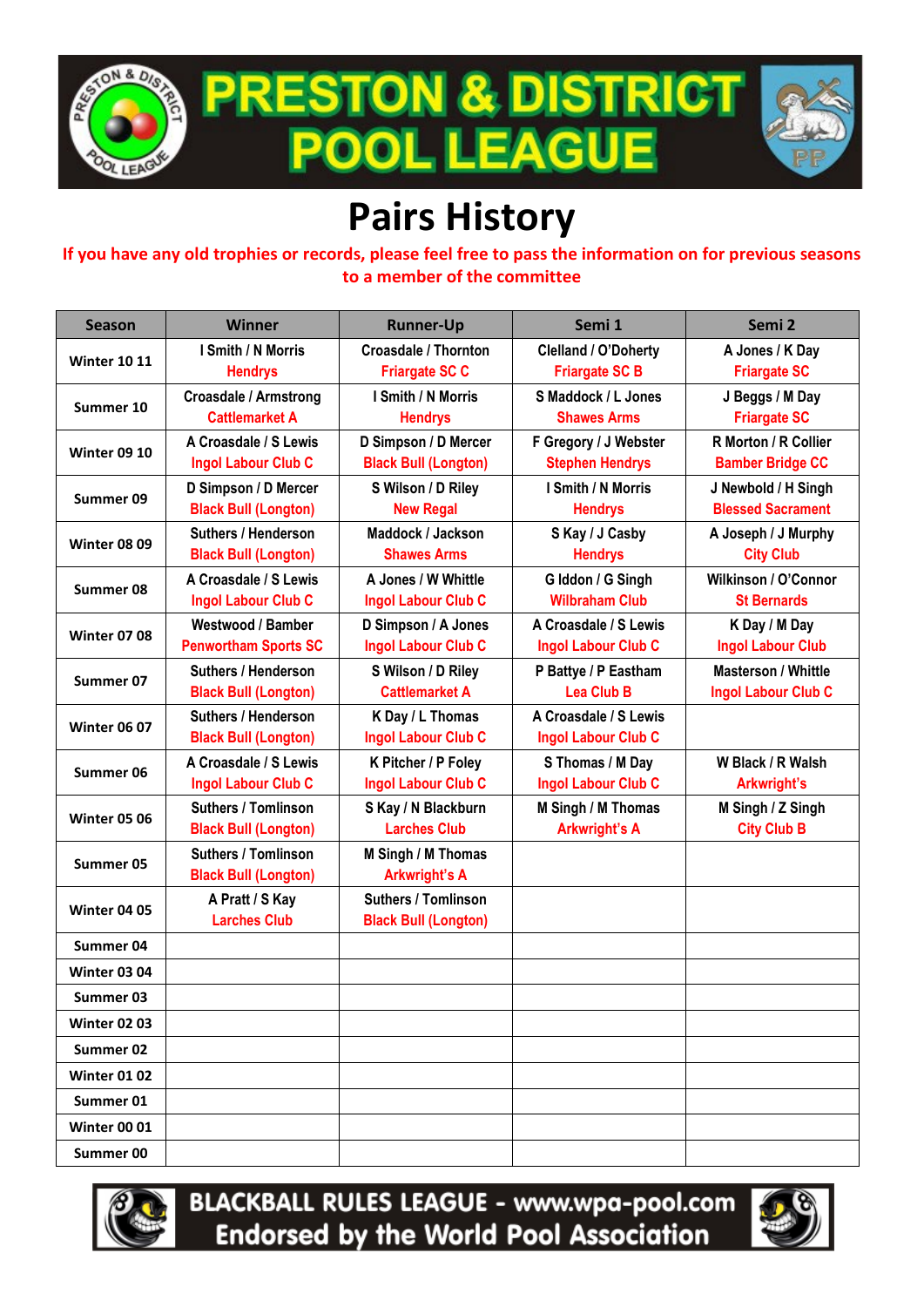

**PRESTON & DISTRICT .EAGU** ool I



## **Pairs History**

**If you have any old trophies or records, please feel free to pass the information on for previous seasons to a member of the committee**

| <b>Season</b>       | <b>Winner</b>                                             | <b>Runner-Up</b>                                          | Semi 1                                              | Semi 2                                                   |
|---------------------|-----------------------------------------------------------|-----------------------------------------------------------|-----------------------------------------------------|----------------------------------------------------------|
| <b>Winter 10 11</b> | I Smith / N Morris<br><b>Hendrys</b>                      | <b>Croasdale / Thornton</b><br><b>Friargate SC C</b>      | Clelland / O'Doherty<br><b>Friargate SC B</b>       | A Jones / K Day<br><b>Friargate SC</b>                   |
| Summer 10           | <b>Croasdale / Armstrong</b><br><b>Cattlemarket A</b>     | I Smith / N Morris<br><b>Hendrys</b>                      | S Maddock / L Jones<br><b>Shawes Arms</b>           | J Beggs / M Day<br><b>Friargate SC</b>                   |
| <b>Winter 09 10</b> | A Croasdale / S Lewis<br><b>Ingol Labour Club C</b>       | D Simpson / D Mercer<br><b>Black Bull (Longton)</b>       | F Gregory / J Webster<br><b>Stephen Hendrys</b>     | R Morton / R Collier<br><b>Bamber Bridge CC</b>          |
| Summer 09           | D Simpson / D Mercer<br><b>Black Bull (Longton)</b>       | S Wilson / D Riley<br><b>New Regal</b>                    | I Smith / N Morris<br><b>Hendrys</b>                | J Newbold / H Singh<br><b>Blessed Sacrament</b>          |
| <b>Winter 08 09</b> | <b>Suthers / Henderson</b><br><b>Black Bull (Longton)</b> | Maddock / Jackson<br><b>Shawes Arms</b>                   | S Kay / J Casby<br><b>Hendrys</b>                   | A Joseph / J Murphy<br><b>City Club</b>                  |
| Summer 08           | A Croasdale / S Lewis<br><b>Ingol Labour Club C</b>       | A Jones / W Whittle<br><b>Ingol Labour Club C</b>         | G Iddon / G Singh<br><b>Wilbraham Club</b>          | Wilkinson / O'Connor<br><b>St Bernards</b>               |
| <b>Winter 07 08</b> | Westwood / Bamber<br><b>Penwortham Sports SC</b>          | D Simpson / A Jones<br>Ingol Labour Club C                | A Croasdale / S Lewis<br><b>Ingol Labour Club C</b> | K Day / M Day<br><b>Ingol Labour Club</b>                |
| Summer 07           | <b>Suthers / Henderson</b><br><b>Black Bull (Longton)</b> | S Wilson / D Riley<br><b>Cattlemarket A</b>               | P Battye / P Eastham<br><b>Lea Club B</b>           | <b>Masterson / Whittle</b><br><b>Ingol Labour Club C</b> |
| <b>Winter 06 07</b> | <b>Suthers / Henderson</b><br><b>Black Bull (Longton)</b> | K Day / L Thomas<br><b>Ingol Labour Club C</b>            | A Croasdale / S Lewis<br><b>Ingol Labour Club C</b> |                                                          |
| Summer 06           | A Croasdale / S Lewis<br><b>Ingol Labour Club C</b>       | K Pitcher / P Foley<br><b>Ingol Labour Club C</b>         | S Thomas / M Day<br><b>Ingol Labour Club C</b>      | W Black / R Walsh<br>Arkwright's                         |
| <b>Winter 05 06</b> | <b>Suthers / Tomlinson</b><br><b>Black Bull (Longton)</b> | S Kay / N Blackburn<br><b>Larches Club</b>                | M Singh / M Thomas<br><b>Arkwright's A</b>          | M Singh / Z Singh<br><b>City Club B</b>                  |
| Summer 05           | <b>Suthers / Tomlinson</b><br><b>Black Bull (Longton)</b> | M Singh / M Thomas<br><b>Arkwright's A</b>                |                                                     |                                                          |
| <b>Winter 04 05</b> | A Pratt / S Kay<br><b>Larches Club</b>                    | <b>Suthers / Tomlinson</b><br><b>Black Bull (Longton)</b> |                                                     |                                                          |
| Summer 04           |                                                           |                                                           |                                                     |                                                          |
| <b>Winter 03 04</b> |                                                           |                                                           |                                                     |                                                          |
| Summer 03           |                                                           |                                                           |                                                     |                                                          |
| <b>Winter 02 03</b> |                                                           |                                                           |                                                     |                                                          |
| Summer 02           |                                                           |                                                           |                                                     |                                                          |
| <b>Winter 01 02</b> |                                                           |                                                           |                                                     |                                                          |
| Summer 01           |                                                           |                                                           |                                                     |                                                          |
| <b>Winter 00 01</b> |                                                           |                                                           |                                                     |                                                          |
| Summer 00           |                                                           |                                                           |                                                     |                                                          |



**BLACKBALL RULES LEAGUE - www.wpa-pool.com Endorsed by the World Pool Association** 

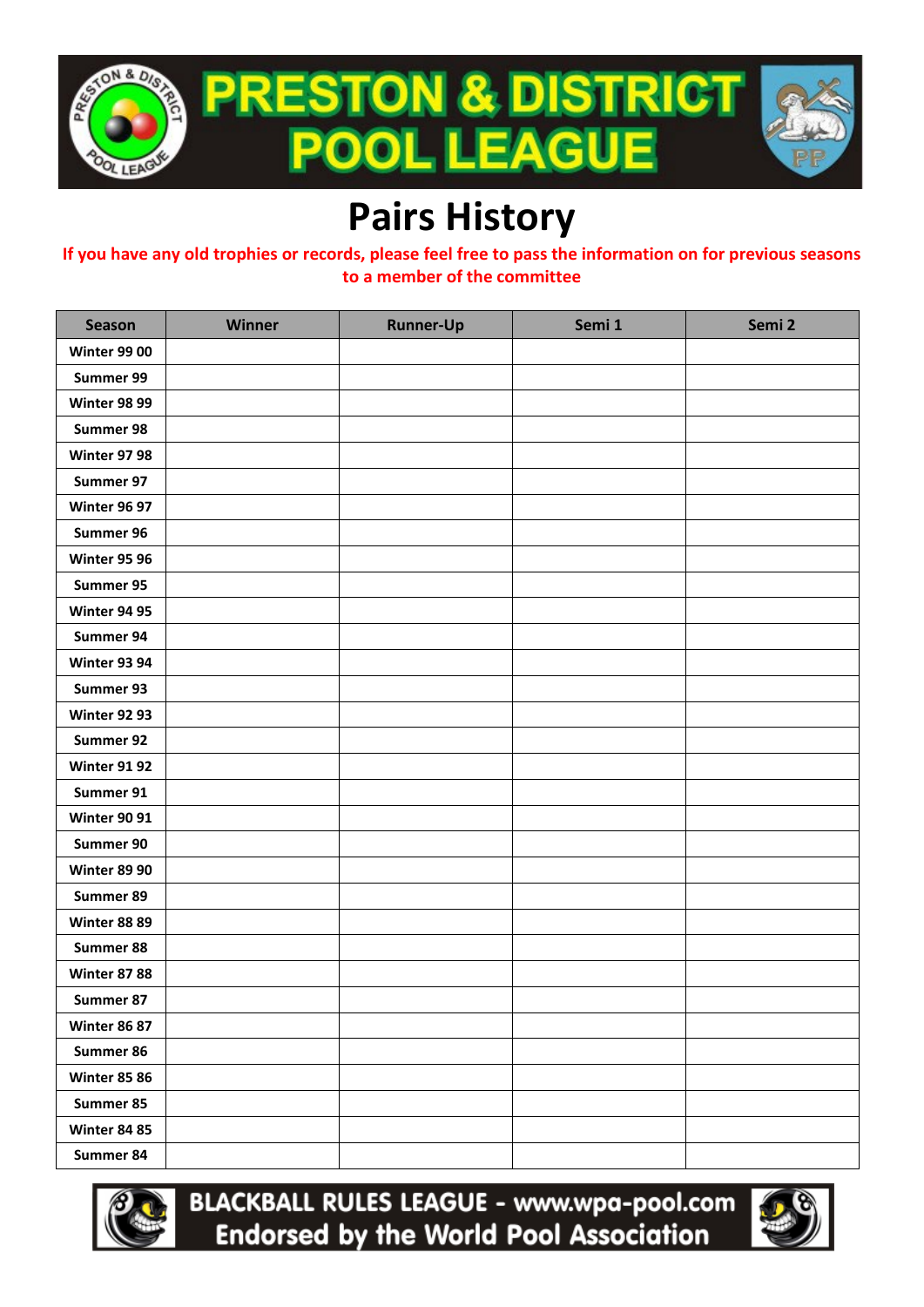

## **Pairs History**

**If you have any old trophies or records, please feel free to pass the information on for previous seasons to a member of the committee**

| <b>Season</b>       | Winner | <b>Runner-Up</b> | Semi 1 | Semi 2 |
|---------------------|--------|------------------|--------|--------|
| <b>Winter 99 00</b> |        |                  |        |        |
| Summer 99           |        |                  |        |        |
| <b>Winter 98 99</b> |        |                  |        |        |
| Summer 98           |        |                  |        |        |
| <b>Winter 97 98</b> |        |                  |        |        |
| Summer 97           |        |                  |        |        |
| <b>Winter 96 97</b> |        |                  |        |        |
| Summer 96           |        |                  |        |        |
| <b>Winter 95 96</b> |        |                  |        |        |
| Summer 95           |        |                  |        |        |
| <b>Winter 94 95</b> |        |                  |        |        |
| Summer 94           |        |                  |        |        |
| <b>Winter 93 94</b> |        |                  |        |        |
| Summer 93           |        |                  |        |        |
| <b>Winter 92 93</b> |        |                  |        |        |
| Summer 92           |        |                  |        |        |
| <b>Winter 91 92</b> |        |                  |        |        |
| Summer 91           |        |                  |        |        |
| <b>Winter 90 91</b> |        |                  |        |        |
| Summer 90           |        |                  |        |        |
| <b>Winter 89 90</b> |        |                  |        |        |
| Summer 89           |        |                  |        |        |
| <b>Winter 88 89</b> |        |                  |        |        |
| Summer 88           |        |                  |        |        |
| <b>Winter 87 88</b> |        |                  |        |        |
| Summer 87           |        |                  |        |        |
| <b>Winter 86 87</b> |        |                  |        |        |
| Summer 86           |        |                  |        |        |
| <b>Winter 85 86</b> |        |                  |        |        |
| Summer 85           |        |                  |        |        |
| <b>Winter 84 85</b> |        |                  |        |        |
| Summer 84           |        |                  |        |        |



**BLACKBALL RULES LEAGUE - www.wpa-pool.com Endorsed by the World Pool Association**